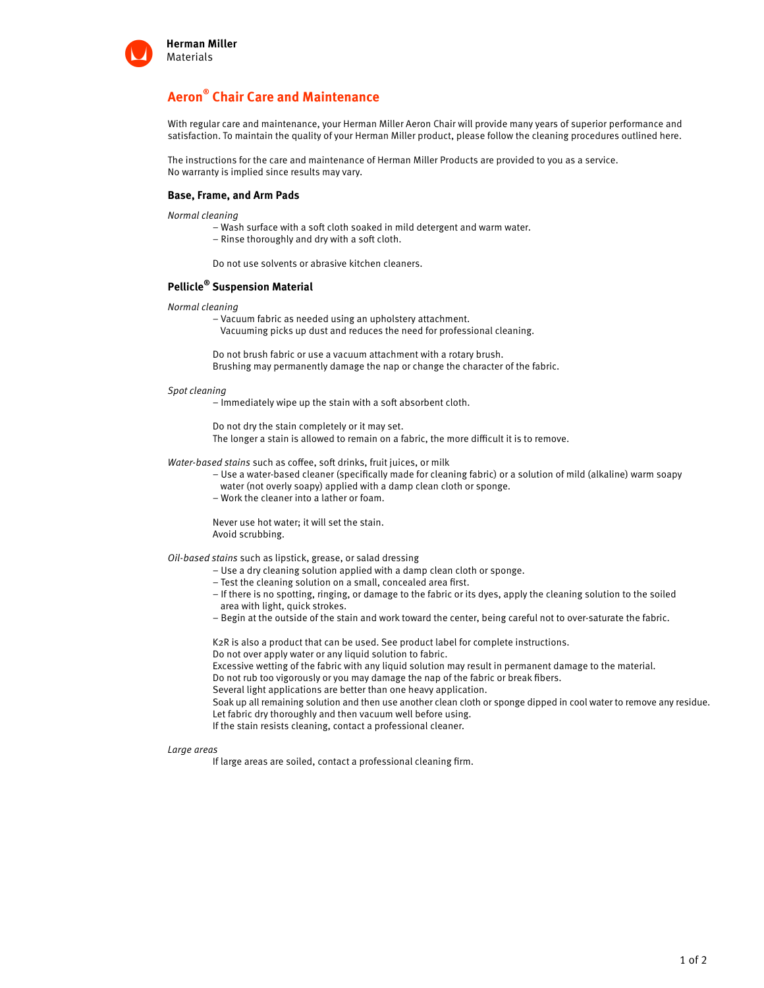

# **Aeron® Chair Care and Maintenance**

With regular care and maintenance, your Herman Miller Aeron Chair will provide many years of superior performance and satisfaction. To maintain the quality of your Herman Miller product, please follow the cleaning procedures outlined here.

The instructions for the care and maintenance of Herman Miller Products are provided to you as a service. No warranty is implied since results may vary.

### **Base, Frame, and Arm Pads**

Normal cleaning

- Wash surface with a soft cloth soaked in mild detergent and warm water.
- Rinse thoroughly and dry with a soft cloth.

Do not use solvents or abrasive kitchen cleaners.

## **Pellicle® Suspension Material**

- Normal cleaning
	- Vacuum fabric as needed using an upholstery attachment.

Vacuuming picks up dust and reduces the need for professional cleaning.

Do not brush fabric or use a vacuum attachment with a rotary brush. Brushing may permanently damage the nap or change the character of the fabric.

#### Spot cleaning

– Immediately wipe up the stain with a soft absorbent cloth.

Do not dry the stain completely or it may set.

The longer a stain is allowed to remain on a fabric, the more difficult it is to remove.

Water-based stains such as coffee, soft drinks, fruit juices, or milk

- Use a water-based cleaner (specifically made for cleaning fabric) or a solution of mild (alkaline) warm soapy water (not overly soapy) applied with a damp clean cloth or sponge.
- Work the cleaner into a lather or foam.

Never use hot water; it will set the stain. Avoid scrubbing.

Oil-based stains such as lipstick, grease, or salad dressing

- Use a dry cleaning solution applied with a damp clean cloth or sponge.
- Test the cleaning solution on a small, concealed area first.
- If there is no spotting, ringing, or damage to the fabric or its dyes, apply the cleaning solution to the soiled area with light, quick strokes.
- Begin at the outside of the stain and work toward the center, being careful not to over-saturate the fabric.

K2R is also a product that can be used. See product label for complete instructions.

Do not over apply water or any liquid solution to fabric.

Excessive wetting of the fabric with any liquid solution may result in permanent damage to the material.

Do not rub too vigorously or you may damage the nap of the fabric or break fibers.

Several light applications are better than one heavy application.

Soak up all remaining solution and then use another clean cloth or sponge dipped in cool water to remove any residue. Let fabric dry thoroughly and then vacuum well before using.

If the stain resists cleaning, contact a professional cleaner.

#### Large areas

If large areas are soiled, contact a professional cleaning firm.